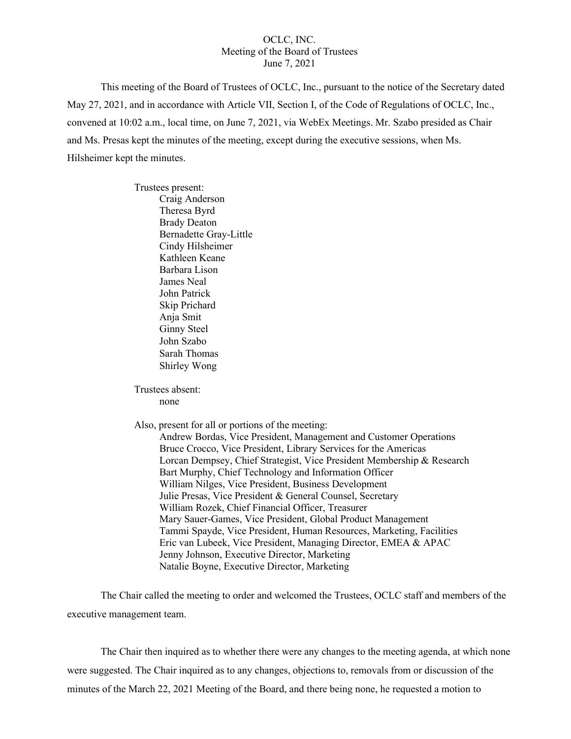## OCLC, INC. Meeting of the Board of Trustees June 7, 2021

This meeting of the Board of Trustees of OCLC, Inc., pursuant to the notice of the Secretary dated May 27, 2021, and in accordance with Article VII, Section I, of the Code of Regulations of OCLC, Inc., convened at 10:02 a.m., local time, on June 7, 2021, via WebEx Meetings. Mr. Szabo presided as Chair and Ms. Presas kept the minutes of the meeting, except during the executive sessions, when Ms. Hilsheimer kept the minutes.

> Trustees present: Craig Anderson Theresa Byrd Brady Deaton Bernadette Gray-Little Cindy Hilsheimer Kathleen Keane Barbara Lison James Neal John Patrick Skip Prichard Anja Smit Ginny Steel John Szabo Sarah Thomas Shirley Wong

Trustees absent: none

Also, present for all or portions of the meeting:

Andrew Bordas, Vice President, Management and Customer Operations Bruce Crocco, Vice President, Library Services for the Americas Lorcan Dempsey, Chief Strategist, Vice President Membership & Research Bart Murphy, Chief Technology and Information Officer William Nilges, Vice President, Business Development Julie Presas, Vice President & General Counsel, Secretary William Rozek, Chief Financial Officer, Treasurer Mary Sauer-Games, Vice President, Global Product Management Tammi Spayde, Vice President, Human Resources, Marketing, Facilities Eric van Lubeek, Vice President, Managing Director, EMEA & APAC Jenny Johnson, Executive Director, Marketing Natalie Boyne, Executive Director, Marketing

The Chair called the meeting to order and welcomed the Trustees, OCLC staff and members of the executive management team.

The Chair then inquired as to whether there were any changes to the meeting agenda, at which none were suggested. The Chair inquired as to any changes, objections to, removals from or discussion of the minutes of the March 22, 2021 Meeting of the Board, and there being none, he requested a motion to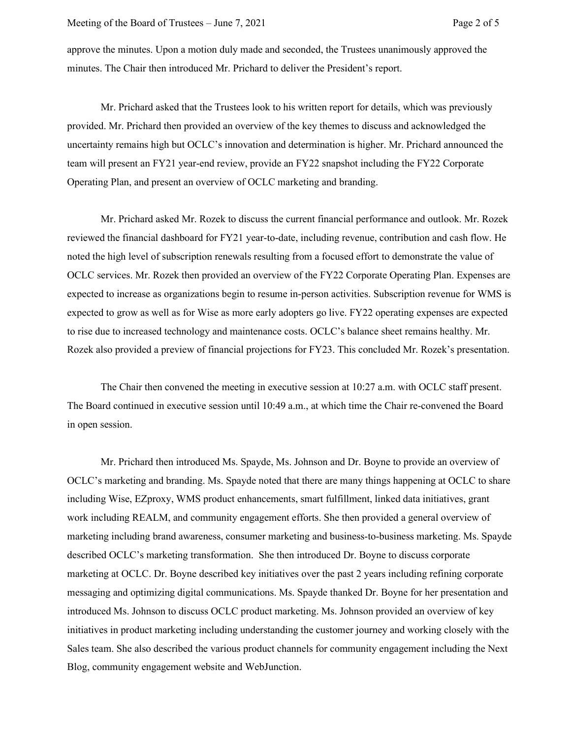approve the minutes. Upon a motion duly made and seconded, the Trustees unanimously approved the minutes. The Chair then introduced Mr. Prichard to deliver the President's report.

Mr. Prichard asked that the Trustees look to his written report for details, which was previously provided. Mr. Prichard then provided an overview of the key themes to discuss and acknowledged the uncertainty remains high but OCLC's innovation and determination is higher. Mr. Prichard announced the team will present an FY21 year-end review, provide an FY22 snapshot including the FY22 Corporate Operating Plan, and present an overview of OCLC marketing and branding.

Mr. Prichard asked Mr. Rozek to discuss the current financial performance and outlook. Mr. Rozek reviewed the financial dashboard for FY21 year-to-date, including revenue, contribution and cash flow. He noted the high level of subscription renewals resulting from a focused effort to demonstrate the value of OCLC services. Mr. Rozek then provided an overview of the FY22 Corporate Operating Plan. Expenses are expected to increase as organizations begin to resume in-person activities. Subscription revenue for WMS is expected to grow as well as for Wise as more early adopters go live. FY22 operating expenses are expected to rise due to increased technology and maintenance costs. OCLC's balance sheet remains healthy. Mr. Rozek also provided a preview of financial projections for FY23. This concluded Mr. Rozek's presentation.

The Chair then convened the meeting in executive session at 10:27 a.m. with OCLC staff present. The Board continued in executive session until 10:49 a.m., at which time the Chair re-convened the Board in open session.

Mr. Prichard then introduced Ms. Spayde, Ms. Johnson and Dr. Boyne to provide an overview of OCLC's marketing and branding. Ms. Spayde noted that there are many things happening at OCLC to share including Wise, EZproxy, WMS product enhancements, smart fulfillment, linked data initiatives, grant work including REALM, and community engagement efforts. She then provided a general overview of marketing including brand awareness, consumer marketing and business-to-business marketing. Ms. Spayde described OCLC's marketing transformation. She then introduced Dr. Boyne to discuss corporate marketing at OCLC. Dr. Boyne described key initiatives over the past 2 years including refining corporate messaging and optimizing digital communications. Ms. Spayde thanked Dr. Boyne for her presentation and introduced Ms. Johnson to discuss OCLC product marketing. Ms. Johnson provided an overview of key initiatives in product marketing including understanding the customer journey and working closely with the Sales team. She also described the various product channels for community engagement including the Next Blog, community engagement website and WebJunction.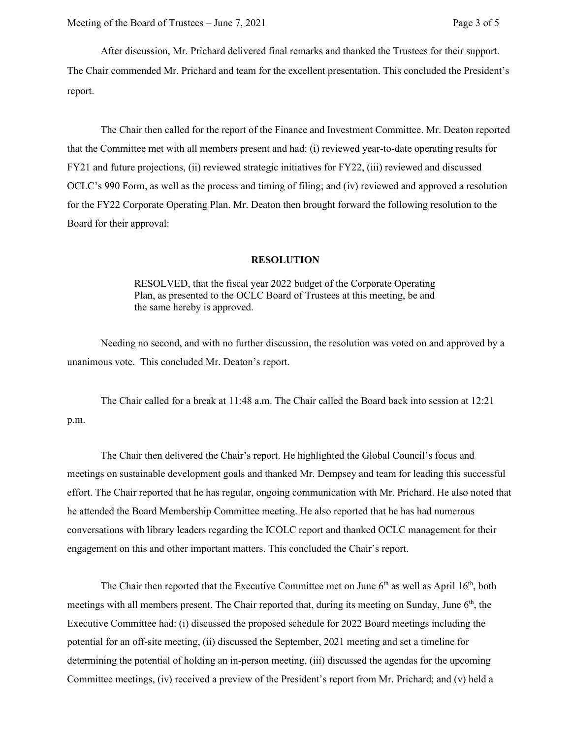After discussion, Mr. Prichard delivered final remarks and thanked the Trustees for their support. The Chair commended Mr. Prichard and team for the excellent presentation. This concluded the President's report.

The Chair then called for the report of the Finance and Investment Committee. Mr. Deaton reported that the Committee met with all members present and had: (i) reviewed year-to-date operating results for FY21 and future projections, (ii) reviewed strategic initiatives for FY22, (iii) reviewed and discussed OCLC's 990 Form, as well as the process and timing of filing; and (iv) reviewed and approved a resolution for the FY22 Corporate Operating Plan. Mr. Deaton then brought forward the following resolution to the Board for their approval:

## **RESOLUTION**

RESOLVED, that the fiscal year 2022 budget of the Corporate Operating Plan, as presented to the OCLC Board of Trustees at this meeting, be and the same hereby is approved.

Needing no second, and with no further discussion, the resolution was voted on and approved by a unanimous vote. This concluded Mr. Deaton's report.

The Chair called for a break at 11:48 a.m. The Chair called the Board back into session at 12:21 p.m.

The Chair then delivered the Chair's report. He highlighted the Global Council's focus and meetings on sustainable development goals and thanked Mr. Dempsey and team for leading this successful effort. The Chair reported that he has regular, ongoing communication with Mr. Prichard. He also noted that he attended the Board Membership Committee meeting. He also reported that he has had numerous conversations with library leaders regarding the ICOLC report and thanked OCLC management for their engagement on this and other important matters. This concluded the Chair's report.

The Chair then reported that the Executive Committee met on June  $6<sup>th</sup>$  as well as April  $16<sup>th</sup>$ , both meetings with all members present. The Chair reported that, during its meeting on Sunday, June 6<sup>th</sup>, the Executive Committee had: (i) discussed the proposed schedule for 2022 Board meetings including the potential for an off-site meeting, (ii) discussed the September, 2021 meeting and set a timeline for determining the potential of holding an in-person meeting, (iii) discussed the agendas for the upcoming Committee meetings, (iv) received a preview of the President's report from Mr. Prichard; and (v) held a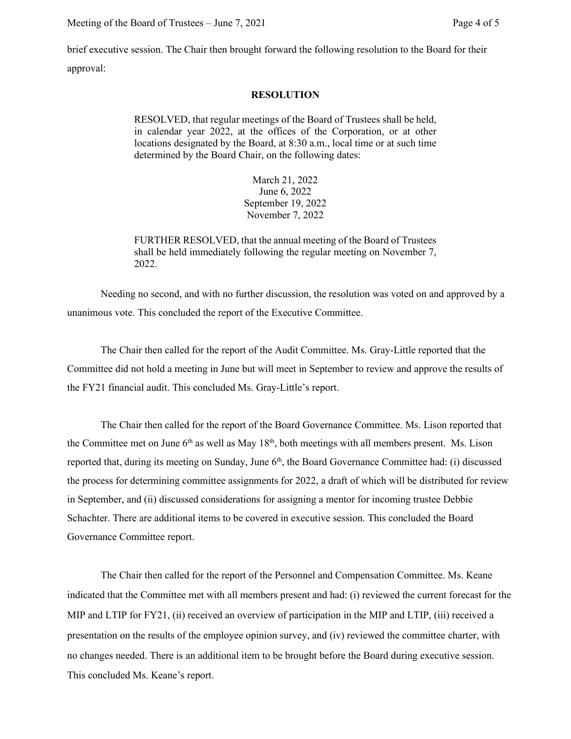brief executive session. The Chair then brought forward the following resolution to the Board for their approval:

## **RESOLUTION**

RESOLVED, that regular meetings of the Board of Trustees shall be held, in calendar year 2022, at the offices of the Corporation, or at other locations designated by the Board, at 8:30 a.m., local time or at such time determined by the Board Chair, on the following dates:

> March 21, 2022 June 6, 2022 September 19, 2022 November 7, 2022

FURTHER RESOLVED, that the annual meeting of the Board of Trustees shall be held immediately following the regular meeting on November 7, 2022.

Needing no second, and with no further discussion, the resolution was voted on and approved by a unanimous vote. This concluded the report of the Executive Committee.

The Chair then called for the report of the Audit Committee. Ms. Gray-Little reported that the Committee did not hold a meeting in June but will meet in September to review and approve the results of the FY21 financial audit. This concluded Ms. Gray-Little's report.

The Chair then called for the report of the Board Governance Committee. Ms. Lison reported that the Committee met on June  $6<sup>th</sup>$  as well as May  $18<sup>th</sup>$ , both meetings with all members present. Ms. Lison reported that, during its meeting on Sunday, June 6<sup>th</sup>, the Board Governance Committee had: (i) discussed the process for determining committee assignments for 2022, a draft of which will be distributed for review in September, and (ii) discussed considerations for assigning a mentor for incoming trustee Debbie Schachter. There are additional items to be covered in executive session. This concluded the Board Governance Committee report.

The Chair then called for the report of the Personnel and Compensation Committee. Ms. Keane indicated that the Committee met with all members present and had: (i) reviewed the current forecast for the MIP and LTIP for FY21, (ii) received an overview of participation in the MIP and LTIP, (iii) received a presentation on the results of the employee opinion survey, and (iv) reviewed the committee charter, with no changes needed. There is an additional item to be brought before the Board during executive session. This concluded Ms. Keane's report.